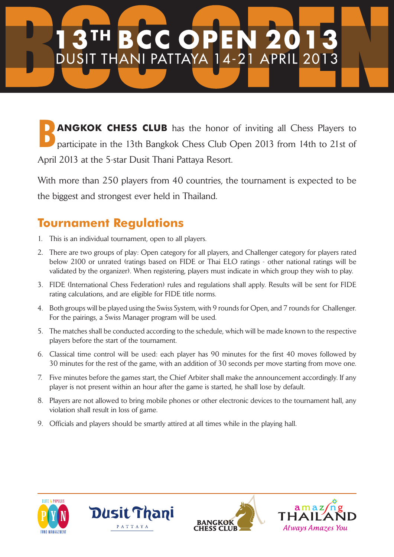## **BCCOP** TH. E DUSIT THANI PATTAYA 14-21 APRIL 2013

**B**<br>**Bangkok Chess CLUB** has the honor of inviting all Chess Players to participate in the 13th Bangkok Chess Club Open 2013 from 14th to 21st of participate in the 13th Bangkok Chess Club Open 2013 from 14th to 21st of April 2013 at the 5-star Dusit Thani Pattaya Resort.

With more than 250 players from 40 countries, the tournament is expected to be the biggest and strongest ever held in Thailand.

## **Tournament Regulations**

- 1. This is an individual tournament, open to all players.
- 2. There are two groups of play: Open category for all players, and Challenger category for players rated below 2100 or unrated (ratings based on FIDE or Thai ELO ratings - other national ratings will be validated by the organizer). When registering, players must indicate in which group they wish to play.
- 3. FIDE (International Chess Federation) rules and regulations shall apply. Results will be sent for FIDE rating calculations, and are eligible for FIDE title norms.
- 4. Both groups will be played using the Swiss System, with 9 rounds for Open, and 7 rounds for Challenger. For the pairings, a Swiss Manager program will be used.
- 5. The matches shall be conducted according to the schedule, which will be made known to the respective players before the start of the tournament.
- 6. Classical time control will be used: each player has 90 minutes for the first 40 moves followed by 30 minutes for the rest of the game, with an addition of 30 seconds per move starting from move one.
- 7. Five minutes before the games start, the Chief Arbiter shall make the announcement accordingly. If any player is not present within an hour after the game is started, he shall lose by default.
- 8. Players are not allowed to bring mobile phones or other electronic devices to the tournament hall, any violation shall result in loss of game.
- 9. Officials and players should be smartly attired at all times while in the playing hall.







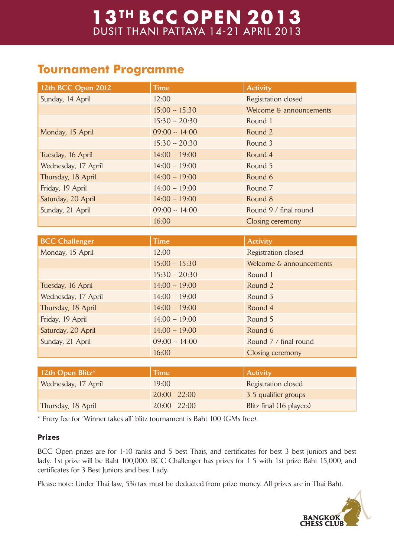# 13<sup>TH</sup> BCC OPEN 2013<br>DUSIT THANI PATTAYA 14-21 APRIL 2013

### **Tournament Programme**

| 12th BCC Open 2012    | <b>Time</b>     | <b>Activity</b>          |
|-----------------------|-----------------|--------------------------|
| Sunday, 14 April      | 12:00           | Registration closed      |
|                       | $15:00 - 15:30$ | Welcome & announcements  |
|                       | $15:30 - 20:30$ | Round 1                  |
| Monday, 15 April      | $09:00 - 14:00$ | Round 2                  |
|                       | $15:30 - 20:30$ | Round 3                  |
| Tuesday, 16 April     | $14:00 - 19:00$ | Round 4                  |
| Wednesday, 17 April   | $14:00 - 19:00$ | Round 5                  |
| Thursday, 18 April    | $14:00 - 19:00$ | Round 6                  |
| Friday, 19 April      | $14:00 - 19:00$ | Round <sub>7</sub>       |
| Saturday, 20 April    | $14:00 - 19:00$ | Round 8                  |
| Sunday, 21 April      | $09:00 - 14:00$ | Round 9 / final round    |
|                       | 16:00           | Closing ceremony         |
|                       |                 |                          |
| <b>BCC Challenger</b> | <b>Time</b>     | <b>Activity</b>          |
| Monday, 15 April      | 12:00           | Registration closed      |
|                       | $15:00 - 15:30$ | Welcome & announcements  |
|                       | $15:30 - 20:30$ | Round 1                  |
| Tuesday, 16 April     | $14:00 - 19:00$ | Round 2                  |
| Wednesday, 17 April   | $14:00 - 19:00$ | Round 3                  |
| Thursday, 18 April    | $14:00 - 19:00$ | Round 4                  |
| Friday, 19 April      | $14:00 - 19:00$ | Round 5                  |
| Saturday, 20 April    | $14:00 - 19:00$ | Round 6                  |
| Sunday, 21 April      | $09:00 - 14:00$ | Round 7 / final round    |
|                       | 16:00           | Closing ceremony         |
|                       |                 |                          |
| 12th Open Blitz*      | <b>Time</b>     | <b>Activity</b>          |
| Wednesday, 17 April   | 19:00           | Registration closed      |
|                       | $20:00 - 22:00$ | 3-5 qualifier groups     |
| Thursday, 18 April    | $20:00 - 22:00$ | Blitz final (16 players) |

\* Entry fee for 'Winner-takes-all' blitz tournament is Baht 100 (GMs free).

#### **Prizes**

BCC Open prizes are for 1-10 ranks and 5 best Thais, and certificates for best 3 best juniors and best lady. 1st prize will be Baht 100,000. BCC Challenger has prizes for 1-5 with 1st prize Baht 15,000, and certificates for 3 Best Juniors and best Lady.

Please note: Under Thai law, 5% tax must be deducted from prize money. All prizes are in Thai Baht.